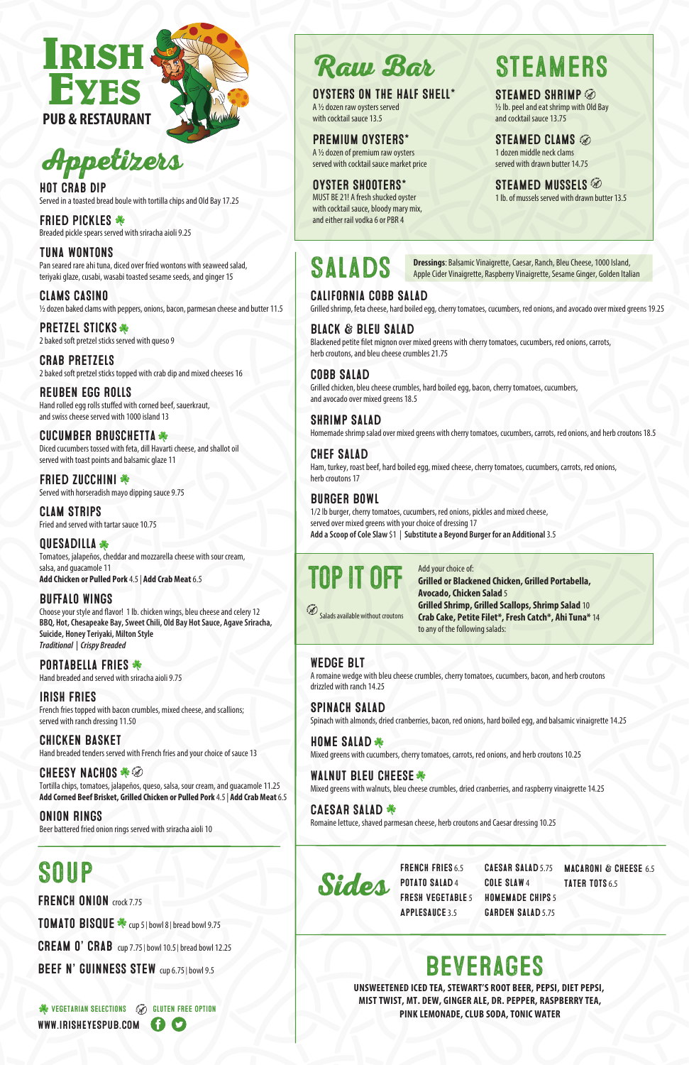

FRENCH FRIES 6.5 POTATO SALAD4 FRESH VEGETABLE 5 Applesauce 3.5

CAESAR SALAD 5.75 Cole Slaw 4 HOMEMADE CHIPS 5 GARDEN SALAD 5.75 MACARONI & CHEESE 6.5 TATER TOTS 6.5

# IRISH **PUB & RESTAURANT**



### Beverages

STEAMED CLAMS 1 dozen middle neck clams served with drawn butter 14.75

STEAMED MUSSELS 1 lb. of mussels served with drawn butter 13.5

½ lb. peel and eat shrimp with Old Bay and cocktail sauce 13.75

Raw Bar

#### Oysters on the Half Shell\*

A ½ dozen raw oysters served with cocktail sauce 13.5

Premium Oysters\* A ½ dozen of premium raw oysters served with cocktail sauce market price

Oyster Shooters\* MUST BE 21! A fresh shucked oyster with cocktail sauce, bloody mary mix, and either rail vodka 6 or PBR 4

# **STEAMERS**

STEAMED SHRIMP

**UNSWEETENED ICED TEA, STEWART'S ROOT BEER, PEPSI, DIET PEPSI, MIST TWIST, MT. DEW, GINGER ALE, DR. PEPPER, RASPBERRY TEA, PINK LEMONADE, CLUB SODA, TONIC WATER**

Add your choice of: **Grilled or Blackened Chicken, Grilled Portabella, Avocado, Chicken Salad** 5 **Grilled Shrimp, Grilled Scallops, Shrimp Salad** 10 **Crab Cake, Petite Filet\*, Fresh Catch\*, Ahi Tuna\*** 14

Salads available without croutons

to any of the following salads:



Salads

**HOME SALAD \*** Mixed greens with cucumbers, cherry tomatoes, carrots, red onions, and herb croutons 10.25

#### WALNUT BLEU CHEESE

California Cobb Salad Grilled shrimp, feta cheese, hard boiled egg, cherry tomatoes, cucumbers, red onions, and avocado over mixed greens 19.25

**FRIED PICKLES \*** Breaded pickle spears served with sriracha aioli 9.25

> Black & Bleu Salad Blackened petite filet mignon over mixed greens with cherry tomatoes, cucumbers, red onions, carrots, herb croutons, and bleu cheese crumbles 21.75

**PRETZEL STICKS \*** 2 baked soft pretzel sticks served with queso 9

> Cobb Salad Grilled chicken, bleu cheese crumbles, hard boiled egg, bacon, cherry tomatoes, cucumbers, and avocado over mixed greens 18.5

Shrimp Salad Homemade shrimp salad over mixed greens with cherry tomatoes, cucumbers, carrots, red onions, and herb croutons 18.5

**FRIED ZUCCHINI \*** Served with horseradish mayo dipping sauce 9.75 Chef Salad Ham, turkey, roast beef, hard boiled egg, mixed cheese, cherry tomatoes, cucumbers, carrots, red onions, herb croutons 17

**QUESADILLA** Tomatoes, jalapeños, cheddar and mozzarella cheese with sour cream, salsa, and guacamole 11 **Add Chicken or Pulled Pork** 4.5 | **Add Crab Meat** 6.5

#### **BUFFALO WINGS**

#### Burger Bowl

Choose your style and flavor! 1 lb. chicken wings, bleu cheese and celery 12 **BBQ, Hot, Chesapeake Bay, Sweet Chili, Old Bay Hot Sauce, Agave Sriracha, Suicide, Honey Teriyaki, Milton Style** *Traditional | Crispy Breaded* 

PORTABELLA FRIES \* Hand breaded and served with sriracha aioli 9.75 1/2 lb burger, cherry tomatoes, cucumbers, red onions, pickles and mixed cheese, served over mixed greens with your choice of dressing 17 **Add a Scoop of Cole Slaw** \$1 | **Substitute a Beyond Burger for an Additional** 3.5

Wedge BLT A romaine wedge with bleu cheese crumbles, cherry tomatoes, cucumbers, bacon, and herb croutons drizzled with ranch 14.25

Spinach Salad Spinach with almonds, dried cranberries, bacon, red onions, hard boiled egg, and balsamic vinaigrette 14.25

Mixed greens with walnuts, bleu cheese crumbles, dried cranberries, and raspberry vinaigrette 14.25

#### CAESAR SALAD

Romaine lettuce, shaved parmesan cheese, herb croutons and Caesar dressing 10.25

### Appetizers

Hot Crab Dip Served in a toasted bread boule with tortilla chips and Old Bay 17.25

Tuna wontons Pan seared rare ahi tuna, diced over fried wontons with seaweed salad, teriyaki glaze, cusabi, wasabi toasted sesame seeds, and ginger 15

Clams Casino ½ dozen baked clams with peppers, onions, bacon, parmesan cheese and butter 11.5

Crab Pretzels 2 baked soft pretzel sticks topped with crab dip and mixed cheeses 16

Reuben Egg Rolls Hand rolled egg rolls stuffed with corned beef, sauerkraut, and swiss cheese served with 1000 island 13

Cucumber Bruschetta Diced cucumbers tossed with feta, dill Havarti cheese, and shallot oil served with toast points and balsamic glaze 11

Clam Strips Fried and served with tartar sauce 10.75

Irish Fries French fries topped with bacon crumbles, mixed cheese, and scallions; served with ranch dressing 11.50

Chicken Basket Hand breaded tenders served with French fries and your choice of sauce 13

**CHEESY NACHOS \* 5** 

Tortilla chips, tomatoes, jalapeños, queso, salsa, sour cream, and guacamole 11.25 **Add Corned Beef Brisket, Grilled Chicken or Pulled Pork** 4.5 | **Add Crab Meat** 6.5

#### Onion Rings

Beer battered fried onion rings served with sriracha aioli 10

### **SOUP**

FRENCH ONION crock 7.75

TOMATO BISQUE tup 5 | bowl 8 | bread bowl 9.75

CREAM  $0'$  CRAB cup 7.75 | bowl 10.5 | bread bowl 12.25

BEEF N' GUINNESS STEW cup 6.75 | bowl 9.5

**VEGETARIAN SELECTIONS (VEGETARIAN SELECTIONS** WWW.IRISHEYESPUB.COM **CO** 

**Dressings**: Balsamic Vinaigrette, Caesar, Ranch, Bleu Cheese, 1000 Island, Apple Cider Vinaigrette, Raspberry Vinaigrette, Sesame Ginger, Golden Italian